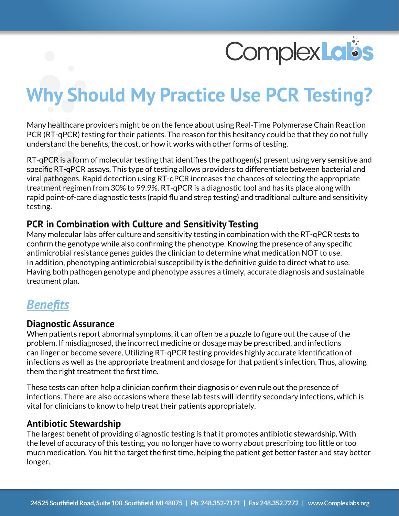

# **Why Should My Practice Use PCR Testing?**

Many healthcare providers might be on the fence about using Real-Time Polymerase Chain Reaction PCR (RT-qPCR) testing for their patients. The reason for this hesitancy could be that they do not fully understand the benefits, the cost, or how it works with other forms of testing.

RT-gPCR is a form of molecular testing that identifies the pathogen(s) present using very sensitive and specific RT-qPCR assays. This type of testing allows providers to differentiate between bacterial and viral pathogens. Rapid detection using RT-qPCR increases the chances of selecting the appropriate treatment regimen from 30% to 99.9%. RT-qPCR is a diagnostic tool and has its place along with rapid point-of-care diagnostic tests (rapid flu and strep testing) and traditional culture and sensitivity testing.

#### **PCR in Combination with Culture and Sensitivity Testing**

Many molecular labs offer culture and sensitivity testing in combination with the RT-qPCR tests to confirm the genotype while also confirming the phenotype. Knowing the presence of any specific antimicrobial resistance genes guides the clinician to determine what medication NOT to use. In addition, phenotyping antimicrobial susceptibility is the definitive guide to direct what to use. Having both pathogen genotype and phenotype assures a timely, accurate diagnosis and sustainable treatment plan.

### *Benefits*

#### **Diagnostic Assurance**

When patients report abnormal symptoms, it can often be a puzzle to figure out the cause of the problem. If misdiagnosed, the incorrect medicine or dosage may be prescribed, and infections can linger or become severe. Utilizing RT-qPCR testing provides highly accurate identification of infections as well as the appropriate treatment and dosage for that patient's infection. Thus, allowing them the right treatment the first time.

These tests can often help a clinician confirm their diagnosis or even rule out the presence of infections. There are also occasions where these lab tests will identify secondary infections, which is vital for clinicians to know to help treat their patients appropriately.

#### **Antibiotic Stewardship**

The largest benefit of providing diagnostic testing is that it promotes antibiotic stewardship. With the level of accuracy of this testing, you no longer have to worry about prescribing too little or too much medication. You hit the target the first time, helping the patient get better faster and stay better longer.